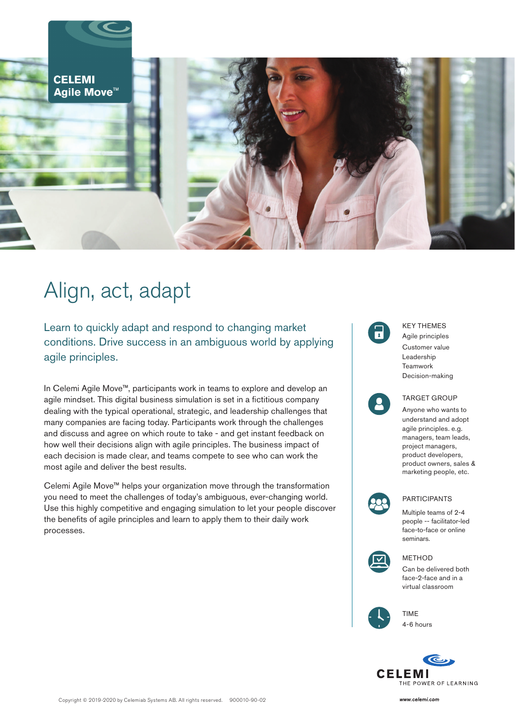

# Align, act, adapt

Learn to quickly adapt and respond to changing market conditions. Drive success in an ambiguous world by applying agile principles.

In Celemi Agile Move™, participants work in teams to explore and develop an agile mindset. This digital business simulation is set in a fictitious company dealing with the typical operational, strategic, and leadership challenges that many companies are facing today. Participants work through the challenges and discuss and agree on which route to take - and get instant feedback on how well their decisions align with agile principles. The business impact of each decision is made clear, and teams compete to see who can work the most agile and deliver the best results.

Celemi Agile Move™ helps your organization move through the transformation you need to meet the challenges of today's ambiguous, ever-changing world. Use this highly competitive and engaging simulation to let your people discover the benefits of agile principles and learn to apply them to their daily work processes.



Anyone who wants to understand and adopt agile principles. e.g. managers, team leads, project managers, product developers, product owners, sales & marketing people, etc.



PARTICIPANTS

Multiple teams of 2-4 people -- facilitator-led face-to-face or online seminars.



#### METHOD

Can be delivered both face-2-face and in a virtual classroom



TIME 4-6 hours



www.celemi.com